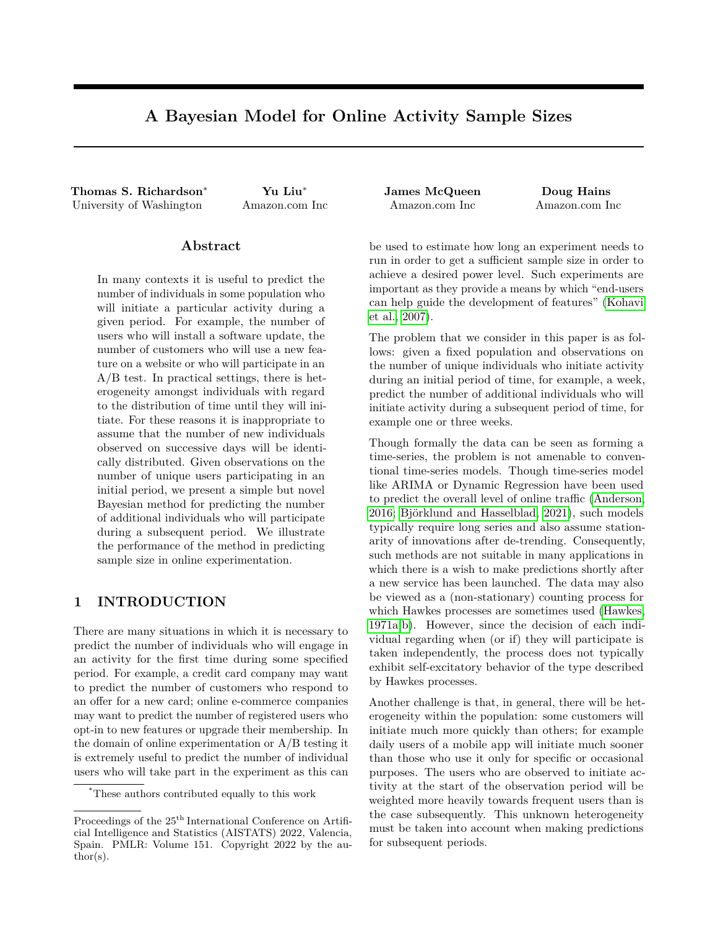# **A Bayesian Model for Online Activity Sample Sizes**

**Thomas S. Richardson**<sup>∗</sup> **Yu Liu**<sup>∗</sup> **James McQueen Doug Hains** University of Washington Amazon.com Inc Amazon.com Inc Amazon.com Inc

#### **Abstract**

In many contexts it is useful to predict the number of individuals in some population who will initiate a particular activity during a given period. For example, the number of users who will install a software update, the number of customers who will use a new feature on a website or who will participate in an A/B test. In practical settings, there is heterogeneity amongst individuals with regard to the distribution of time until they will initiate. For these reasons it is inappropriate to assume that the number of new individuals observed on successive days will be identically distributed. Given observations on the number of unique users participating in an initial period, we present a simple but novel Bayesian method for predicting the number of additional individuals who will participate during a subsequent period. We illustrate the performance of the method in predicting sample size in online experimentation.

## **1 INTRODUCTION**

There are many situations in which it is necessary to predict the number of individuals who will engage in an activity for the first time during some specified period. For example, a credit card company may want to predict the number of customers who respond to an offer for a new card; online e-commerce companies may want to predict the number of registered users who opt-in to new features or upgrade their membership. In the domain of online experimentation or A/B testing it is extremely useful to predict the number of individual users who will take part in the experiment as this can

be used to estimate how long an experiment needs to run in order to get a sufficient sample size in order to achieve a desired power level. Such experiments are important as they provide a means by which "end-users can help guide the development of features" [\(Kohavi](#page-9-0) [et al., 2007\)](#page-9-0).

The problem that we consider in this paper is as follows: given a fixed population and observations on the number of unique individuals who initiate activity during an initial period of time, for example, a week, predict the number of additional individuals who will initiate activity during a subsequent period of time, for example one or three weeks.

Though formally the data can be seen as forming a time-series, the problem is not amenable to conventional time-series models. Though time-series model like ARIMA or Dynamic Regression have been used to predict the overall level of online traffic [\(Anderson,](#page-9-1) [2016;](#page-9-1) [Björklund and Hasselblad, 2021\)](#page-9-2), such models typically require long series and also assume stationarity of innovations after de-trending. Consequently, such methods are not suitable in many applications in which there is a wish to make predictions shortly after a new service has been launched. The data may also be viewed as a (non-stationary) counting process for which Hawkes processes are sometimes used [\(Hawkes,](#page-9-3) [1971a,](#page-9-3)[b\)](#page-9-4). However, since the decision of each individual regarding when (or if) they will participate is taken independently, the process does not typically exhibit self-excitatory behavior of the type described by Hawkes processes.

Another challenge is that, in general, there will be heterogeneity within the population: some customers will initiate much more quickly than others; for example daily users of a mobile app will initiate much sooner than those who use it only for specific or occasional purposes. The users who are observed to initiate activity at the start of the observation period will be weighted more heavily towards frequent users than is the case subsequently. This unknown heterogeneity must be taken into account when making predictions for subsequent periods.

<sup>\*</sup>These authors contributed equally to this work

Proceedings of the  $25^{\mathrm{th}}$  International Conference on Artificial Intelligence and Statistics (AISTATS) 2022, Valencia, Spain. PMLR: Volume 151. Copyright 2022 by the author(s).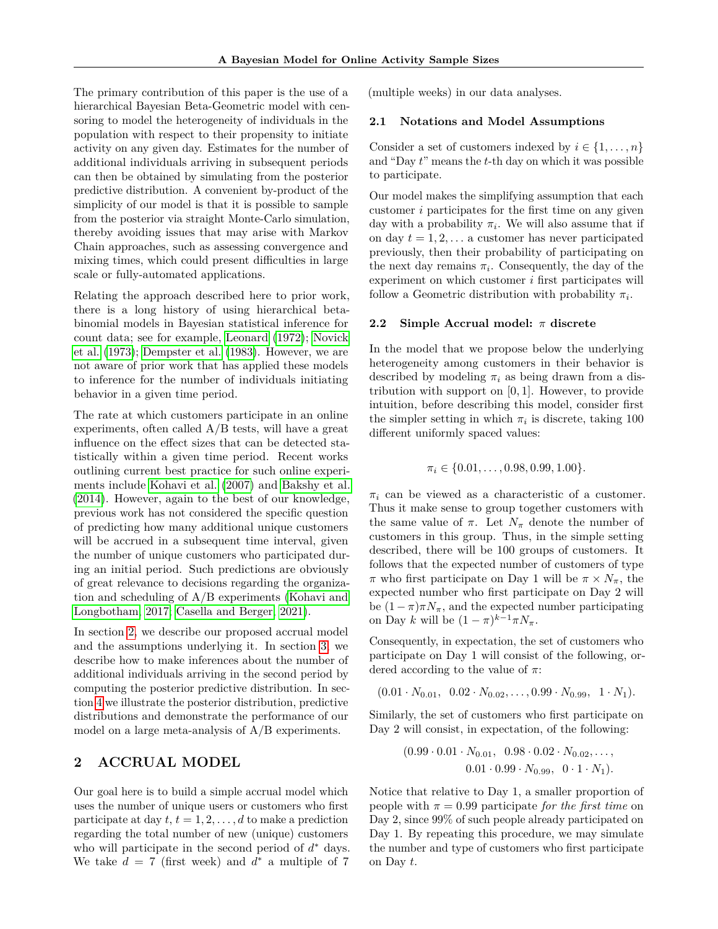The primary contribution of this paper is the use of a hierarchical Bayesian Beta-Geometric model with censoring to model the heterogeneity of individuals in the population with respect to their propensity to initiate activity on any given day. Estimates for the number of additional individuals arriving in subsequent periods can then be obtained by simulating from the posterior predictive distribution. A convenient by-product of the simplicity of our model is that it is possible to sample from the posterior via straight Monte-Carlo simulation, thereby avoiding issues that may arise with Markov Chain approaches, such as assessing convergence and mixing times, which could present difficulties in large scale or fully-automated applications.

Relating the approach described here to prior work, there is a long history of using hierarchical betabinomial models in Bayesian statistical inference for count data; see for example, [Leonard](#page-9-5) [\(1972\)](#page-9-5); [Novick](#page-9-6) [et al.](#page-9-6) [\(1973\)](#page-9-6); [Dempster et al.](#page-9-7) [\(1983\)](#page-9-7). However, we are not aware of prior work that has applied these models to inference for the number of individuals initiating behavior in a given time period.

The rate at which customers participate in an online experiments, often called A/B tests, will have a great influence on the effect sizes that can be detected statistically within a given time period. Recent works outlining current best practice for such online experiments include [Kohavi et al.](#page-9-0) [\(2007\)](#page-9-0) and [Bakshy et al.](#page-9-8) [\(2014\)](#page-9-8). However, again to the best of our knowledge, previous work has not considered the specific question of predicting how many additional unique customers will be accrued in a subsequent time interval, given the number of unique customers who participated during an initial period. Such predictions are obviously of great relevance to decisions regarding the organization and scheduling of A/B experiments [\(Kohavi and](#page-9-9) [Longbotham, 2017;](#page-9-9) [Casella and Berger, 2021\)](#page-9-10).

In section [2,](#page-1-0) we describe our proposed accrual model and the assumptions underlying it. In section [3,](#page-3-0) we describe how to make inferences about the number of additional individuals arriving in the second period by computing the posterior predictive distribution. In section [4](#page-4-0) we illustrate the posterior distribution, predictive distributions and demonstrate the performance of our model on a large meta-analysis of A/B experiments.

### <span id="page-1-0"></span>**2 ACCRUAL MODEL**

Our goal here is to build a simple accrual model which uses the number of unique users or customers who first participate at day  $t, t = 1, 2, \ldots, d$  to make a prediction regarding the total number of new (unique) customers who will participate in the second period of *d* <sup>∗</sup> days. We take  $d = 7$  (first week) and  $d^*$  a multiple of 7

(multiple weeks) in our data analyses.

#### <span id="page-1-2"></span>**2.1 Notations and Model Assumptions**

Consider a set of customers indexed by  $i \in \{1, \ldots, n\}$ and "Day *t*" means the *t*-th day on which it was possible to participate.

Our model makes the simplifying assumption that each customer *i* participates for the first time on any given day with a probability  $\pi_i$ . We will also assume that if on day  $t = 1, 2, \ldots$  a customer has never participated previously, then their probability of participating on the next day remains  $\pi_i$ . Consequently, the day of the experiment on which customer *i* first participates will follow a Geometric distribution with probability  $\pi_i$ .

#### <span id="page-1-1"></span>**2.2 Simple Accrual model:** *π* **discrete**

In the model that we propose below the underlying heterogeneity among customers in their behavior is described by modeling  $\pi_i$  as being drawn from a distribution with support on [0*,* 1]. However, to provide intuition, before describing this model, consider first the simpler setting in which  $\pi_i$  is discrete, taking 100 different uniformly spaced values:

$$
\pi_i \in \{0.01, \ldots, 0.98, 0.99, 1.00\}.
$$

 $\pi_i$  can be viewed as a characteristic of a customer. Thus it make sense to group together customers with the same value of  $\pi$ . Let  $N_{\pi}$  denote the number of customers in this group. Thus, in the simple setting described, there will be 100 groups of customers. It follows that the expected number of customers of type *π* who first participate on Day 1 will be *π* × *Nπ*, the expected number who first participate on Day 2 will be  $(1 - \pi)\pi N_\pi$ , and the expected number participating on Day *k* will be  $(1 - \pi)^{k-1} \pi N_{\pi}$ .

Consequently, in expectation, the set of customers who participate on Day 1 will consist of the following, ordered according to the value of *π*:

 $(0.01 \cdot N_{0.01}, 0.02 \cdot N_{0.02}, \ldots, 0.99 \cdot N_{0.99}, 1 \cdot N_1).$ 

Similarly, the set of customers who first participate on Day 2 will consist, in expectation, of the following:

$$
(0.99 \cdot 0.01 \cdot N_{0.01}, 0.98 \cdot 0.02 \cdot N_{0.02}, \dots, 0.01 \cdot 0.99 \cdot N_{0.99}, 0 \cdot 1 \cdot N_1).
$$

Notice that relative to Day 1, a smaller proportion of people with  $\pi = 0.99$  participate *for the first time* on Day 2, since 99% of such people already participated on Day 1. By repeating this procedure, we may simulate the number and type of customers who first participate on Day *t*.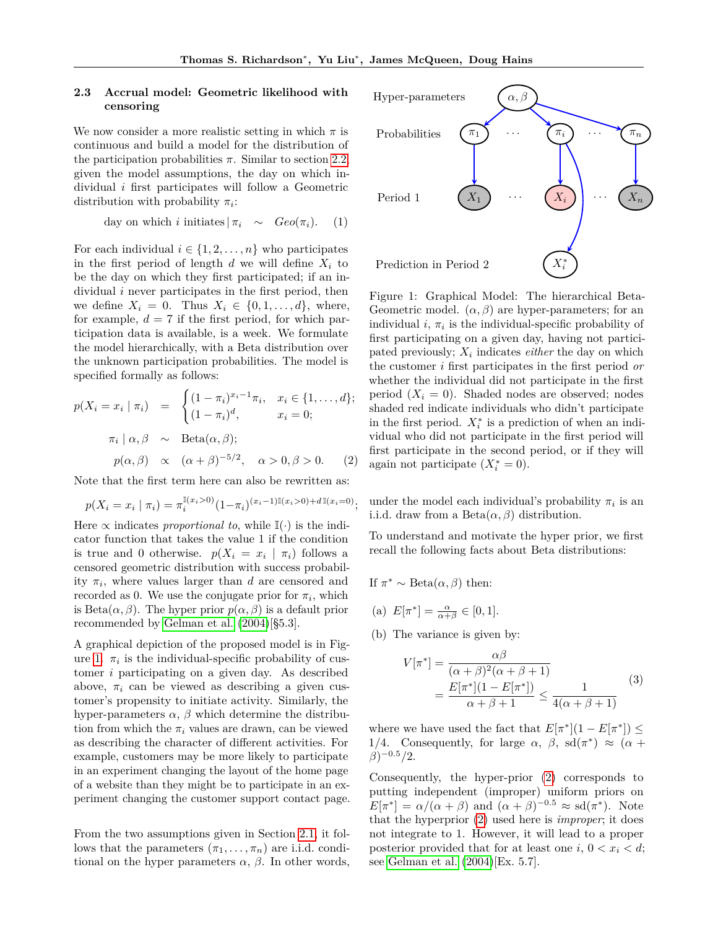#### **2.3 Accrual model: Geometric likelihood with censoring**

We now consider a more realistic setting in which  $\pi$  is continuous and build a model for the distribution of the participation probabilities  $\pi$ . Similar to section [2.2,](#page-1-1) given the model assumptions, the day on which individual *i* first participates will follow a Geometric distribution with probability *π<sup>i</sup>* :

day on which *i* initiates 
$$
|\pi_i \sim \text{Geo}(\pi_i)
$$
. (1)

For each individual  $i \in \{1, 2, \ldots, n\}$  who participates in the first period of length  $d$  we will define  $X_i$  to be the day on which they first participated; if an individual *i* never participates in the first period, then we define  $X_i = 0$ . Thus  $X_i \in \{0, 1, \ldots, d\}$ , where, for example,  $d = 7$  if the first period, for which participation data is available, is a week. We formulate the model hierarchically, with a Beta distribution over the unknown participation probabilities. The model is specified formally as follows:

<span id="page-2-1"></span>
$$
p(X_i = x_i \mid \pi_i) = \begin{cases} (1 - \pi_i)^{x_i - 1} \pi_i, & x_i \in \{1, \dots, d\}; \\ (1 - \pi_i)^d, & x_i = 0; \end{cases}
$$

$$
\pi_i \mid \alpha, \beta \sim \text{Beta}(\alpha, \beta);
$$

$$
p(\alpha, \beta) \propto (\alpha + \beta)^{-5/2}, \quad \alpha > 0, \beta > 0. \tag{2}
$$

Note that the first term here can also be rewritten as:

$$
p(X_i = x_i \mid \pi_i) = \pi_i^{\mathbb{I}(x_i > 0)} (1 - \pi_i)^{(x_i - 1)\mathbb{I}(x_i > 0) + d\mathbb{I}(x_i = 0)};
$$

Here  $\propto$  indicates *proportional to*, while  $\mathbb{I}(\cdot)$  is the indicator function that takes the value 1 if the condition is true and 0 otherwise.  $p(X_i = x_i \mid \pi_i)$  follows a censored geometric distribution with success probability  $\pi_i$ , where values larger than *d* are censored and recorded as 0. We use the conjugate prior for  $\pi_i$ , which is Beta $(\alpha, \beta)$ . The hyper prior  $p(\alpha, \beta)$  is a default prior recommended by [Gelman et al.](#page-9-11) [\(2004\)](#page-9-11)[§5.3].

A graphical depiction of the proposed model is in Fig-ure [1.](#page-2-0)  $\pi_i$  is the individual-specific probability of customer *i* participating on a given day. As described above,  $\pi_i$  can be viewed as describing a given customer's propensity to initiate activity. Similarly, the hyper-parameters  $\alpha$ ,  $\beta$  which determine the distribution from which the  $\pi_i$  values are drawn, can be viewed as describing the character of different activities. For example, customers may be more likely to participate in an experiment changing the layout of the home page of a website than they might be to participate in an experiment changing the customer support contact page.

From the two assumptions given in Section [2.1,](#page-1-2) it follows that the parameters  $(\pi_1, \ldots, \pi_n)$  are i.i.d. conditional on the hyper parameters  $\alpha$ ,  $\beta$ . In other words,

<span id="page-2-0"></span>

Figure 1: Graphical Model: The hierarchical Beta-Geometric model.  $(\alpha, \beta)$  are hyper-parameters; for an individual  $i, \pi_i$  is the individual-specific probability of first participating on a given day, having not participated previously; *X<sup>i</sup>* indicates *either* the day on which the customer *i* first participates in the first period *or* whether the individual did not participate in the first period  $(X_i = 0)$ . Shaded nodes are observed; nodes shaded red indicate individuals who didn't participate in the first period.  $X_i^*$  is a prediction of when an individual who did not participate in the first period will first participate in the second period, or if they will again not participate  $(X_i^* = 0)$ .

under the model each individual's probability  $\pi_i$  is an i.i.d. draw from a Beta $(\alpha, \beta)$  distribution.

To understand and motivate the hyper prior, we first recall the following facts about Beta distributions:

If 
$$
\pi^* \sim \text{Beta}(\alpha, \beta)
$$
 then:

- (a)  $E[\pi^*] = \frac{\alpha}{\alpha + \beta} \in [0, 1].$
- (b) The variance is given by:

$$
V[\pi^*] = \frac{\alpha \beta}{(\alpha + \beta)^2 (\alpha + \beta + 1)} \\
= \frac{E[\pi^*](1 - E[\pi^*])}{\alpha + \beta + 1} \le \frac{1}{4(\alpha + \beta + 1)}\n\tag{3}
$$

where we have used the fact that  $E[\pi^*](1 - E[\pi^*]) \le$ 1/4. Consequently, for large  $\alpha$ ,  $\beta$ , sd( $\pi$ <sup>\*</sup>)  $\approx$  ( $\alpha$  + *β*) <sup>−</sup>0*.*<sup>5</sup>*/*2.

Consequently, the hyper-prior [\(2\)](#page-2-1) corresponds to putting independent (improper) uniform priors on  $E[\pi^*] = \alpha/(\alpha + \beta)$  and  $(\alpha + \beta)^{-0.5} \approx \text{sd}(\pi^*)$ . Note that the hyperprior [\(2\)](#page-2-1) used here is *improper*; it does not integrate to 1. However, it will lead to a proper posterior provided that for at least one  $i, 0 < x_i < d$ ; see [Gelman et al.](#page-9-11) [\(2004\)](#page-9-11)[Ex. 5.7].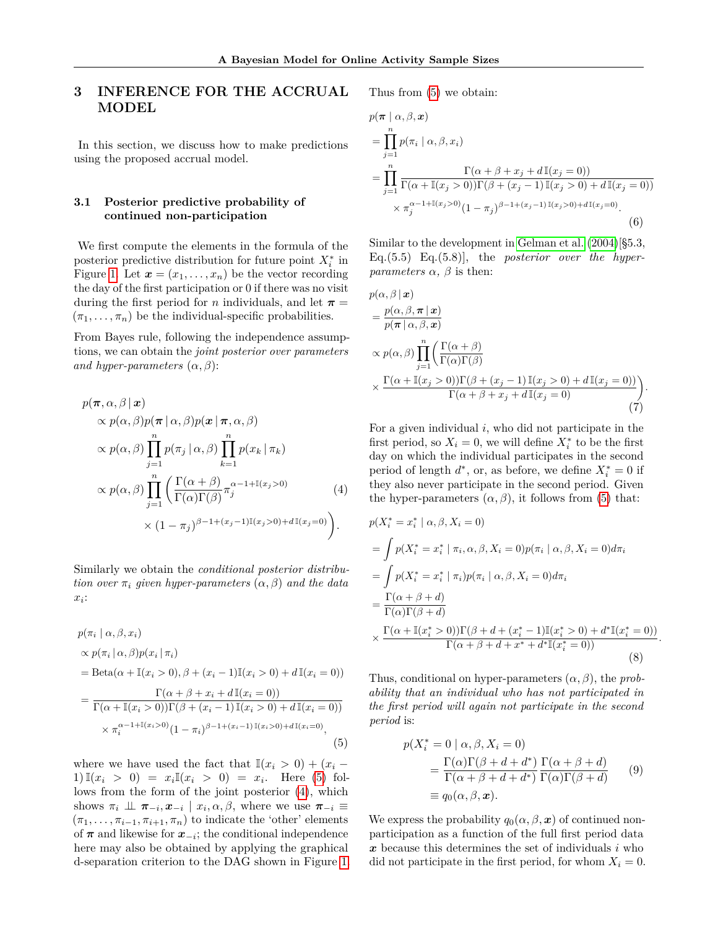## <span id="page-3-0"></span>**3 INFERENCE FOR THE ACCRUAL MODEL**

In this section, we discuss how to make predictions using the proposed accrual model.

#### <span id="page-3-4"></span>**3.1 Posterior predictive probability of continued non-participation**

We first compute the elements in the formula of the posterior predictive distribution for future point  $X_i^*$  in Figure [1.](#page-2-0) Let  $\mathbf{x} = (x_1, \ldots, x_n)$  be the vector recording the day of the first participation or 0 if there was no visit during the first period for *n* individuals, and let  $\pi$  =  $(\pi_1, \ldots, \pi_n)$  be the individual-specific probabilities.

From Bayes rule, following the independence assumptions, we can obtain the *joint posterior over parameters and hyper-parameters*  $(\alpha, \beta)$ :

$$
p(\pi, \alpha, \beta | \mathbf{x})
$$
  
\n
$$
\propto p(\alpha, \beta) p(\pi | \alpha, \beta) p(\mathbf{x} | \pi, \alpha, \beta)
$$
  
\n
$$
\propto p(\alpha, \beta) \prod_{j=1}^{n} p(\pi_j | \alpha, \beta) \prod_{k=1}^{n} p(x_k | \pi_k)
$$
  
\n
$$
\propto p(\alpha, \beta) \prod_{j=1}^{n} \left( \frac{\Gamma(\alpha + \beta)}{\Gamma(\alpha)\Gamma(\beta)} \pi_j^{\alpha - 1 + \mathbb{I}(x_j > 0)} \right)
$$
  
\n
$$
\times (1 - \pi_j)^{\beta - 1 + (x_j - 1)\mathbb{I}(x_j > 0) + d\mathbb{I}(x_j = 0)}.
$$
\n(4)

Similarly we obtain the *conditional posterior distribution over*  $\pi_i$  *given hyper-parameters*  $(\alpha, \beta)$  *and the data*  $x_i$ :

<span id="page-3-1"></span>
$$
p(\pi_i | \alpha, \beta, x_i)
$$
  
\n
$$
\propto p(\pi_i | \alpha, \beta)p(x_i | \pi_i)
$$
  
\n
$$
= Beta(\alpha + \mathbb{I}(x_i > 0), \beta + (x_i - 1)\mathbb{I}(x_i > 0) + d\mathbb{I}(x_i = 0))
$$
  
\n
$$
= \frac{\Gamma(\alpha + \beta + x_i + d\mathbb{I}(x_i = 0))}{\Gamma(\alpha + \mathbb{I}(x_i > 0))\Gamma(\beta + (x_i - 1)\mathbb{I}(x_i > 0) + d\mathbb{I}(x_i = 0))}
$$
  
\n
$$
\times \pi_i^{\alpha - 1 + \mathbb{I}(x_i > 0)} (1 - \pi_i)^{\beta - 1 + (x_i - 1)\mathbb{I}(x_i > 0) + d\mathbb{I}(x_i = 0)},
$$
\n(5)

where we have used the fact that  $\mathbb{I}(x_i > 0) + (x_i -$ 1) $\mathbb{I}(x_i > 0) = x_i \mathbb{I}(x_i > 0) = x_i$ . Here [\(5\)](#page-3-1) follows from the form of the joint posterior [\(4\)](#page-3-2), which shows  $\pi_i \perp \!\!\! \perp \pi_{-i}, x_{-i} \mid x_i, \alpha, \beta$ , where we use  $\pi_{-i} \equiv$  $(\pi_1, \ldots, \pi_{i-1}, \pi_{i+1}, \pi_n)$  to indicate the 'other' elements of  $\pi$  and likewise for  $x_{-i}$ ; the conditional independence here may also be obtained by applying the graphical d-separation criterion to the DAG shown in Figure [1.](#page-2-0)

Thus from [\(5\)](#page-3-1) we obtain:

$$
p(\pi | \alpha, \beta, x)
$$
  
= 
$$
\prod_{j=1}^{n} p(\pi_i | \alpha, \beta, x_i)
$$
  
= 
$$
\prod_{j=1}^{n} \frac{\Gamma(\alpha + \beta + x_j + d\mathbb{I}(x_j = 0))}{\Gamma(\alpha + \mathbb{I}(x_j > 0))\Gamma(\beta + (x_j - 1)\mathbb{I}(x_j > 0) + d\mathbb{I}(x_j = 0))}
$$
  

$$
\times \pi_j^{\alpha - 1 + \mathbb{I}(x_j > 0)} (1 - \pi_j)^{\beta - 1 + (x_j - 1)\mathbb{I}(x_j > 0) + d\mathbb{I}(x_j = 0)}.
$$
(6)

Similar to the development in [Gelman et al.](#page-9-11) [\(2004\)](#page-9-11)[§5.3, Eq.(5.5) Eq.(5.8)], the *posterior over the hyperparameters*  $\alpha$ *,*  $\beta$  is then:

<span id="page-3-3"></span>
$$
p(\alpha, \beta | \mathbf{x})
$$
  
=  $\frac{p(\alpha, \beta, \pi | \mathbf{x})}{p(\pi | \alpha, \beta, \mathbf{x})}$   

$$
\propto p(\alpha, \beta) \prod_{j=1}^{n} \left( \frac{\Gamma(\alpha + \beta)}{\Gamma(\alpha)\Gamma(\beta)} \right)
$$
  

$$
\times \frac{\Gamma(\alpha + \mathbb{I}(x_j > 0))\Gamma(\beta + (x_j - 1) \mathbb{I}(x_j > 0) + d\mathbb{I}(x_j = 0))}{\Gamma(\alpha + \beta + x_j + d\mathbb{I}(x_j = 0)}.
$$
(7)

For a given individual *i*, who did not participate in the first period, so  $X_i = 0$ , we will define  $X_i^*$  to be the first day on which the individual participates in the second period of length  $d^*$ , or, as before, we define  $X_i^* = 0$  if they also never participate in the second period. Given the hyper-parameters  $(\alpha, \beta)$ , it follows from [\(5\)](#page-3-1) that:

<span id="page-3-2"></span>
$$
p(X_i^* = x_i^* | \alpha, \beta, X_i = 0)
$$
  
= 
$$
\int p(X_i^* = x_i^* | \pi_i, \alpha, \beta, X_i = 0) p(\pi_i | \alpha, \beta, X_i = 0) d\pi_i
$$
  
= 
$$
\int p(X_i^* = x_i^* | \pi_i) p(\pi_i | \alpha, \beta, X_i = 0) d\pi_i
$$
  
= 
$$
\frac{\Gamma(\alpha + \beta + d)}{\Gamma(\alpha)\Gamma(\beta + d)}
$$
  

$$
\times \frac{\Gamma(\alpha + \mathbb{I}(x_i^* > 0))\Gamma(\beta + d + (x_i^* - 1)\mathbb{I}(x_i^* > 0) + d^* \mathbb{I}(x_i^* = 0))}{\Gamma(\alpha + \beta + d + x^* + d^* \mathbb{I}(x_i^* = 0))}.
$$
(8)

Thus, conditional on hyper-parameters  $(\alpha, \beta)$ , the *probability that an individual who has not participated in the first period will again not participate in the second period* is:

<span id="page-3-5"></span>
$$
p(X_i^* = 0 \mid \alpha, \beta, X_i = 0)
$$
  
= 
$$
\frac{\Gamma(\alpha)\Gamma(\beta + d + d^*)}{\Gamma(\alpha + \beta + d + d^*)} \frac{\Gamma(\alpha + \beta + d)}{\Gamma(\alpha)\Gamma(\beta + d)}
$$
 (9)  

$$
\equiv q_0(\alpha, \beta, \mathbf{x}).
$$

We express the probability  $q_0(\alpha, \beta, x)$  of continued nonparticipation as a function of the full first period data *x* because this determines the set of individuals *i* who did not participate in the first period, for whom  $X_i = 0$ .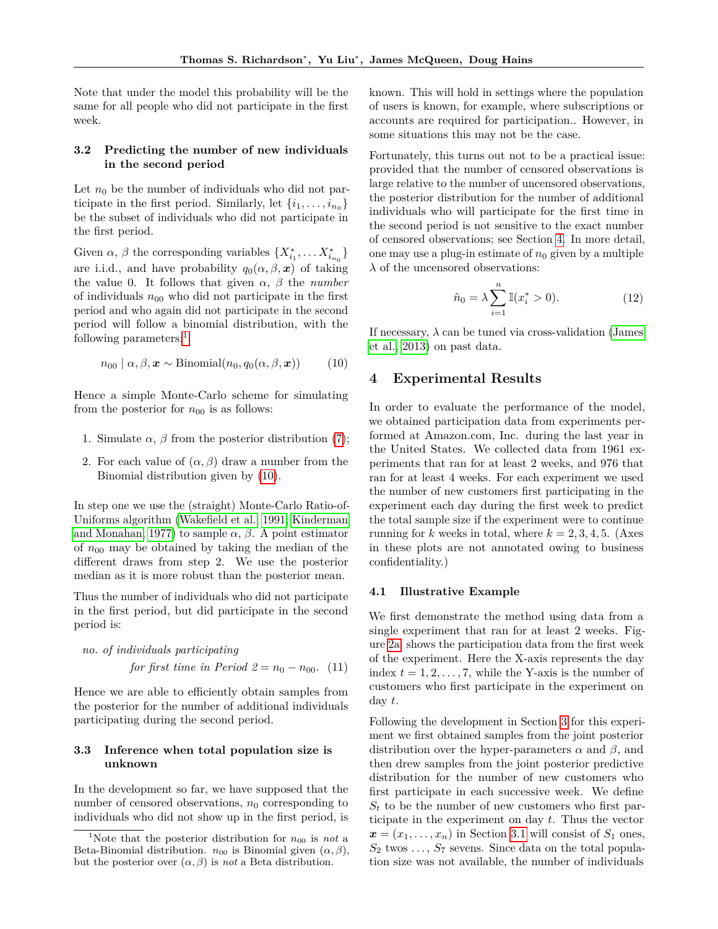Note that under the model this probability will be the same for all people who did not participate in the first week.

#### **3.2 Predicting the number of new individuals in the second period**

Let  $n_0$  be the number of individuals who did not participate in the first period. Similarly, let  $\{i_1, \ldots, i_{n_0}\}\$ be the subset of individuals who did not participate in the first period.

Given  $\alpha$ ,  $\beta$  the corresponding variables  $\{X_{i_1}^*, \ldots X_{i_{n_0}}^*\}$ are i.i.d., and have probability  $q_0(\alpha, \beta, x)$  of taking the value 0. It follows that given  $\alpha$ ,  $\beta$  the *number* of individuals  $n_{00}$  who did not participate in the first period and who again did not participate in the second period will follow a binomial distribution, with the following parameters:<sup>[1](#page-4-1)</sup>

$$
n_{00} | \alpha, \beta, \mathbf{x} \sim \text{Binomial}(n_0, q_0(\alpha, \beta, \mathbf{x})) \tag{10}
$$

Hence a simple Monte-Carlo scheme for simulating from the posterior for  $n_{00}$  is as follows:

- 1. Simulate  $\alpha$ ,  $\beta$  from the posterior distribution [\(7\)](#page-3-3);
- 2. For each value of  $(\alpha, \beta)$  draw a number from the Binomial distribution given by [\(10\)](#page-4-2).

In step one we use the (straight) Monte-Carlo Ratio-of-Uniforms algorithm [\(Wakefield et al., 1991;](#page-9-12) [Kinderman](#page-9-13) [and Monahan, 1977\)](#page-9-13) to sample  $\alpha$ ,  $\beta$ . A point estimator of  $n_{00}$  may be obtained by taking the median of the different draws from step 2. We use the posterior median as it is more robust than the posterior mean.

Thus the number of individuals who did not participate in the first period, but did participate in the second period is:

no. of individuals participating  
for first time in Period 
$$
2 = n_0 - n_{00}
$$
. (11)

Hence we are able to efficiently obtain samples from the posterior for the number of additional individuals participating during the second period.

#### **3.3 Inference when total population size is unknown**

In the development so far, we have supposed that the number of censored observations,  $n_0$  corresponding to individuals who did not show up in the first period, is known. This will hold in settings where the population of users is known, for example, where subscriptions or accounts are required for participation.. However, in some situations this may not be the case.

Fortunately, this turns out not to be a practical issue: provided that the number of censored observations is large relative to the number of uncensored observations, the posterior distribution for the number of additional individuals who will participate for the first time in the second period is not sensitive to the exact number of censored observations; see Section [4.](#page-4-0) In more detail, one may use a plug-in estimate of  $n_0$  given by a multiple  $\lambda$  of the uncensored observations:

<span id="page-4-3"></span>
$$
\hat{n}_0 = \lambda \sum_{i=1}^n \mathbb{I}(x_i^* > 0).
$$
 (12)

<span id="page-4-2"></span>If necessary,  $\lambda$  can be tuned via cross-validation [\(James](#page-9-14) [et al., 2013\)](#page-9-14) on past data.

#### <span id="page-4-0"></span>**4 Experimental Results**

In order to evaluate the performance of the model, we obtained participation data from experiments performed at Amazon.com, Inc. during the last year in the United States. We collected data from 1961 experiments that ran for at least 2 weeks, and 976 that ran for at least 4 weeks. For each experiment we used the number of new customers first participating in the experiment each day during the first week to predict the total sample size if the experiment were to continue running for *k* weeks in total, where  $k = 2, 3, 4, 5$ . (Axes in these plots are not annotated owing to business confidentiality.)

#### **4.1 Illustrative Example**

We first demonstrate the method using data from a single experiment that ran for at least 2 weeks. Figure [2a](#page-6-0) shows the participation data from the first week of the experiment. Here the X-axis represents the day index  $t = 1, 2, \ldots, 7$ , while the Y-axis is the number of customers who first participate in the experiment on day *t*.

Following the development in Section [3](#page-3-0) for this experiment we first obtained samples from the joint posterior distribution over the hyper-parameters  $\alpha$  and  $\beta$ , and then drew samples from the joint posterior predictive distribution for the number of new customers who first participate in each successive week. We define  $S_t$  to be the number of new customers who first participate in the experiment on day *t*. Thus the vector  $x = (x_1, \ldots, x_n)$  in Section [3.1](#page-3-4) will consist of  $S_1$  ones,  $S_2$  twos  $\ldots$ ,  $S_7$  sevens. Since data on the total population size was not available, the number of individuals

<span id="page-4-1"></span><sup>&</sup>lt;sup>1</sup>Note that the posterior distribution for  $n_{00}$  is *not* a Beta-Binomial distribution.  $n_{00}$  is Binomial given  $(\alpha, \beta)$ , but the posterior over (*α, β*) is *not* a Beta distribution.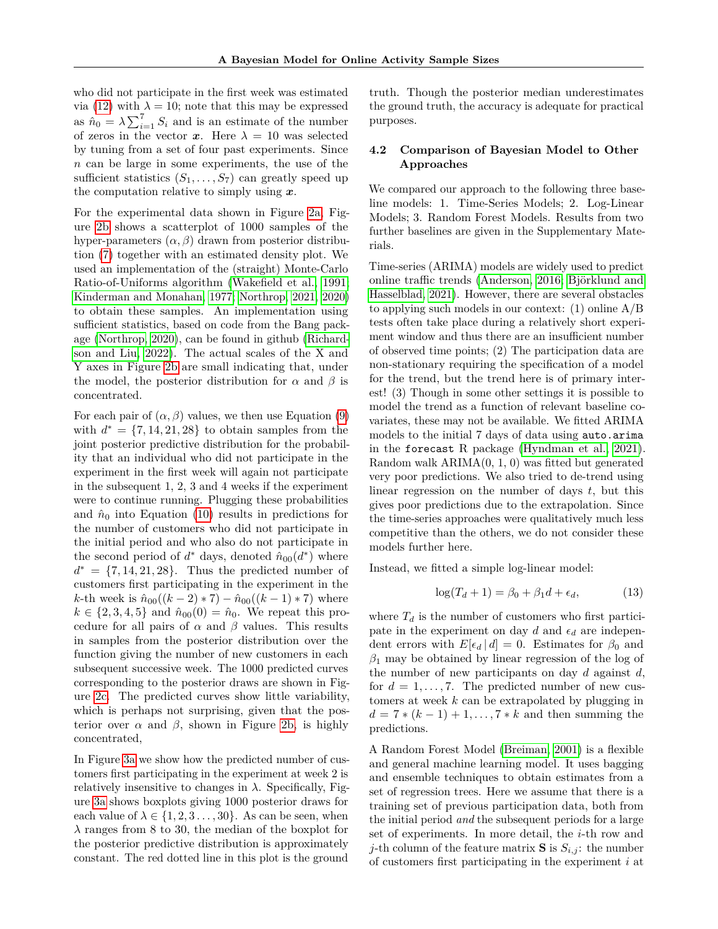who did not participate in the first week was estimated via [\(12\)](#page-4-3) with  $\lambda = 10$ ; note that this may be expressed as  $\hat{n}_0 = \lambda \sum_{i=1}^7 S_i$  and is an estimate of the number of zeros in the vector **x**. Here  $\lambda = 10$  was selected by tuning from a set of four past experiments. Since *n* can be large in some experiments, the use of the sufficient statistics  $(S_1, \ldots, S_7)$  can greatly speed up the computation relative to simply using *x*.

For the experimental data shown in Figure [2a,](#page-6-0) Figure [2b](#page-6-0) shows a scatterplot of 1000 samples of the hyper-parameters (*α, β*) drawn from posterior distribution [\(7\)](#page-3-3) together with an estimated density plot. We used an implementation of the (straight) Monte-Carlo Ratio-of-Uniforms algorithm [\(Wakefield et al., 1991;](#page-9-12) [Kinderman and Monahan, 1977;](#page-9-13) [Northrop, 2021,](#page-9-15) [2020\)](#page-9-16) to obtain these samples. An implementation using sufficient statistics, based on code from the Bang package [\(Northrop, 2020\)](#page-9-16), can be found in github [\(Richard](#page-9-17)[son and Liu, 2022\)](#page-9-17). The actual scales of the X and Y axes in Figure [2b](#page-6-0) are small indicating that, under the model, the posterior distribution for  $\alpha$  and  $\beta$  is concentrated.

For each pair of  $(\alpha, \beta)$  values, we then use Equation [\(9\)](#page-3-5) with  $d^* = \{7, 14, 21, 28\}$  to obtain samples from the joint posterior predictive distribution for the probability that an individual who did not participate in the experiment in the first week will again not participate in the subsequent 1, 2, 3 and 4 weeks if the experiment were to continue running. Plugging these probabilities and  $\hat{n}_0$  into Equation [\(10\)](#page-4-2) results in predictions for the number of customers who did not participate in the initial period and who also do not participate in the second period of  $d^*$  days, denoted  $\hat{n}_{00}(d^*)$  where  $d^* = \{7, 14, 21, 28\}.$  Thus the predicted number of customers first participating in the experiment in the *k*-th week is  $\hat{n}_{00}((k-2)*7) - \hat{n}_{00}((k-1)*7)$  where  $k \in \{2, 3, 4, 5\}$  and  $\hat{n}_{00}(0) = \hat{n}_0$ . We repeat this procedure for all pairs of  $\alpha$  and  $\beta$  values. This results in samples from the posterior distribution over the function giving the number of new customers in each subsequent successive week. The 1000 predicted curves corresponding to the posterior draws are shown in Figure [2c.](#page-6-0) The predicted curves show little variability, which is perhaps not surprising, given that the posterior over  $\alpha$  and  $\beta$ , shown in Figure [2b,](#page-6-0) is highly concentrated,

In Figure [3a](#page-6-1) we show how the predicted number of customers first participating in the experiment at week 2 is relatively insensitive to changes in  $\lambda$ . Specifically, Figure [3a](#page-6-1) shows boxplots giving 1000 posterior draws for each value of  $\lambda \in \{1, 2, 3, \ldots, 30\}$ . As can be seen, when *λ* ranges from 8 to 30, the median of the boxplot for the posterior predictive distribution is approximately constant. The red dotted line in this plot is the ground

truth. Though the posterior median underestimates the ground truth, the accuracy is adequate for practical purposes.

#### **4.2 Comparison of Bayesian Model to Other Approaches**

We compared our approach to the following three baseline models: 1. Time-Series Models; 2. Log-Linear Models; 3. Random Forest Models. Results from two further baselines are given in the Supplementary Materials.

Time-series (ARIMA) models are widely used to predict online traffic trends [\(Anderson, 2016;](#page-9-1) [Björklund and](#page-9-2) [Hasselblad, 2021\)](#page-9-2). However, there are several obstacles to applying such models in our context: (1) online A/B tests often take place during a relatively short experiment window and thus there are an insufficient number of observed time points; (2) The participation data are non-stationary requiring the specification of a model for the trend, but the trend here is of primary interest! (3) Though in some other settings it is possible to model the trend as a function of relevant baseline covariates, these may not be available. We fitted ARIMA models to the initial 7 days of data using auto.arima in the forecast R package [\(Hyndman et al., 2021\)](#page-9-18). Random walk ARIMA(0, 1, 0) was fitted but generated very poor predictions. We also tried to de-trend using linear regression on the number of days *t*, but this gives poor predictions due to the extrapolation. Since the time-series approaches were qualitatively much less competitive than the others, we do not consider these models further here.

Instead, we fitted a simple log-linear model:

$$
\log(T_d + 1) = \beta_0 + \beta_1 d + \epsilon_d,\tag{13}
$$

where  $T_d$  is the number of customers who first participate in the experiment on day  $d$  and  $\epsilon_d$  are independent errors with  $E[\epsilon_d | d] = 0$ . Estimates for  $\beta_0$  and *β*<sup>1</sup> may be obtained by linear regression of the log of the number of new participants on day *d* against *d*, for  $d = 1, \ldots, 7$ . The predicted number of new customers at week *k* can be extrapolated by plugging in  $d = 7 * (k-1) + 1, \ldots, 7 * k$  and then summing the predictions.

A Random Forest Model [\(Breiman, 2001\)](#page-9-19) is a flexible and general machine learning model. It uses bagging and ensemble techniques to obtain estimates from a set of regression trees. Here we assume that there is a training set of previous participation data, both from the initial period *and* the subsequent periods for a large set of experiments. In more detail, the *i*-th row and *j*-th column of the feature matrix **S** is  $S_{i,j}$ : the number of customers first participating in the experiment *i* at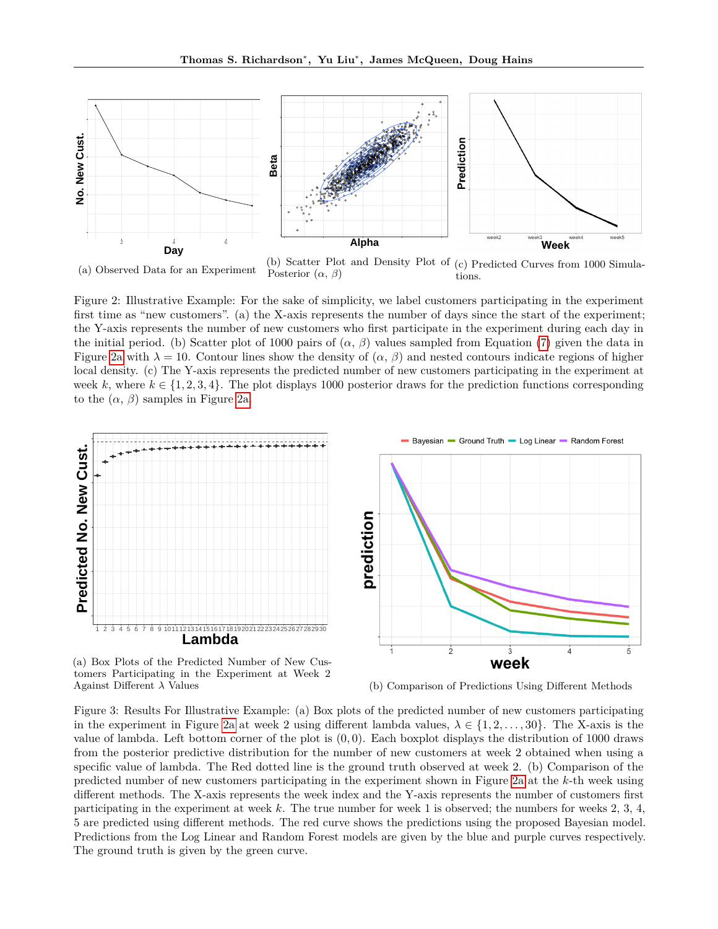<span id="page-6-0"></span>

(a) Observed Data for an Experiment

(b) Scatter Plot and Density Plot of (c) Predicted Curves from 1000 Simula-Posterior (*α*, *β*) tions.

Figure 2: Illustrative Example: For the sake of simplicity, we label customers participating in the experiment first time as "new customers". (a) the X-axis represents the number of days since the start of the experiment; the Y-axis represents the number of new customers who first participate in the experiment during each day in the initial period. (b) Scatter plot of 1000 pairs of  $(\alpha, \beta)$  values sampled from Equation [\(7\)](#page-3-3) given the data in Figure [2a](#page-6-0) with  $\lambda = 10$ . Contour lines show the density of  $(\alpha, \beta)$  and nested contours indicate regions of higher local density. (c) The Y-axis represents the predicted number of new customers participating in the experiment at week k, where  $k \in \{1, 2, 3, 4\}$ . The plot displays 1000 posterior draws for the prediction functions corresponding to the  $(\alpha, \beta)$  samples in Figure [2a.](#page-6-0)

<span id="page-6-1"></span>

(a) Box Plots of the Predicted Number of New Customers Participating in the Experiment at Week 2 Against Different *λ* Values (b) Comparison of Predictions Using Different Methods

Figure 3: Results For Illustrative Example: (a) Box plots of the predicted number of new customers participating in the experiment in Figure [2a](#page-6-0) at week 2 using different lambda values,  $\lambda \in \{1, 2, ..., 30\}$ . The X-axis is the value of lambda. Left bottom corner of the plot is (0*,* 0). Each boxplot displays the distribution of 1000 draws from the posterior predictive distribution for the number of new customers at week 2 obtained when using a specific value of lambda. The Red dotted line is the ground truth observed at week 2. (b) Comparison of the predicted number of new customers participating in the experiment shown in Figure [2a](#page-6-0) at the *k*-th week using different methods. The X-axis represents the week index and the Y-axis represents the number of customers first participating in the experiment at week *k*. The true number for week 1 is observed; the numbers for weeks 2, 3, 4, 5 are predicted using different methods. The red curve shows the predictions using the proposed Bayesian model. Predictions from the Log Linear and Random Forest models are given by the blue and purple curves respectively. The ground truth is given by the green curve.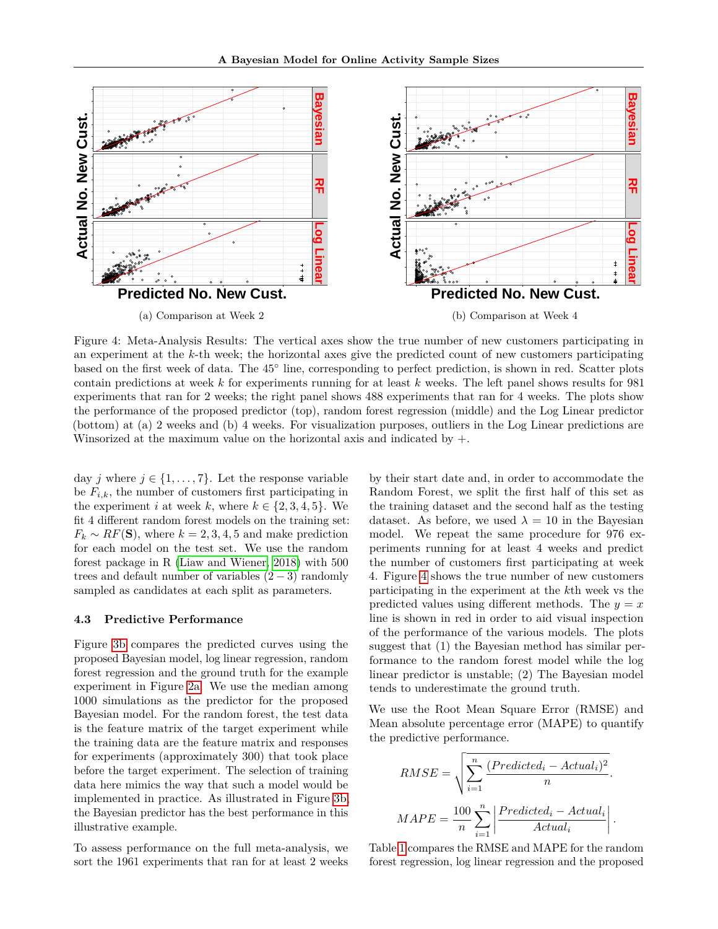<span id="page-7-0"></span>

Figure 4: Meta-Analysis Results: The vertical axes show the true number of new customers participating in an experiment at the *k*-th week; the horizontal axes give the predicted count of new customers participating based on the first week of data. The 45° line, corresponding to perfect prediction, is shown in red. Scatter plots contain predictions at week *k* for experiments running for at least *k* weeks. The left panel shows results for 981 experiments that ran for 2 weeks; the right panel shows 488 experiments that ran for 4 weeks. The plots show the performance of the proposed predictor (top), random forest regression (middle) and the Log Linear predictor (bottom) at (a) 2 weeks and (b) 4 weeks. For visualization purposes, outliers in the Log Linear predictions are Winsorized at the maximum value on the horizontal axis and indicated by  $+$ .

day *j* where  $j \in \{1, \ldots, 7\}$ . Let the response variable be  $F_{i,k}$ , the number of customers first participating in the experiment *i* at week *k*, where  $k \in \{2, 3, 4, 5\}$ . We fit 4 different random forest models on the training set:  $F_k \sim RF(\mathbf{S})$ , where  $k = 2, 3, 4, 5$  and make prediction for each model on the test set. We use the random forest package in R [\(Liaw and Wiener, 2018\)](#page-9-20) with 500 trees and default number of variables  $(2-3)$  randomly sampled as candidates at each split as parameters.

#### **4.3 Predictive Performance**

Figure [3b](#page-6-1) compares the predicted curves using the proposed Bayesian model, log linear regression, random forest regression and the ground truth for the example experiment in Figure [2a.](#page-6-0) We use the median among 1000 simulations as the predictor for the proposed Bayesian model. For the random forest, the test data is the feature matrix of the target experiment while the training data are the feature matrix and responses for experiments (approximately 300) that took place before the target experiment. The selection of training data here mimics the way that such a model would be implemented in practice. As illustrated in Figure [3b,](#page-6-1) the Bayesian predictor has the best performance in this illustrative example.

To assess performance on the full meta-analysis, we sort the 1961 experiments that ran for at least 2 weeks by their start date and, in order to accommodate the Random Forest, we split the first half of this set as the training dataset and the second half as the testing dataset. As before, we used  $\lambda = 10$  in the Bayesian model. We repeat the same procedure for 976 experiments running for at least 4 weeks and predict the number of customers first participating at week 4. Figure [4](#page-7-0) shows the true number of new customers participating in the experiment at the *k*th week vs the predicted values using different methods. The  $y = x$ line is shown in red in order to aid visual inspection of the performance of the various models. The plots suggest that (1) the Bayesian method has similar performance to the random forest model while the log linear predictor is unstable; (2) The Bayesian model tends to underestimate the ground truth.

We use the Root Mean Square Error (RMSE) and Mean absolute percentage error (MAPE) to quantify the predictive performance.

$$
RMSE = \sqrt{\sum_{i=1}^{n} \frac{(Predicted_i - Actual_i)^2}{n}}.
$$

$$
MAPE = \frac{100}{n} \sum_{i=1}^{n} \left| \frac{Predicted_i - Actual_i}{Actual_i} \right|.
$$

Table [1](#page-8-0) compares the RMSE and MAPE for the random forest regression, log linear regression and the proposed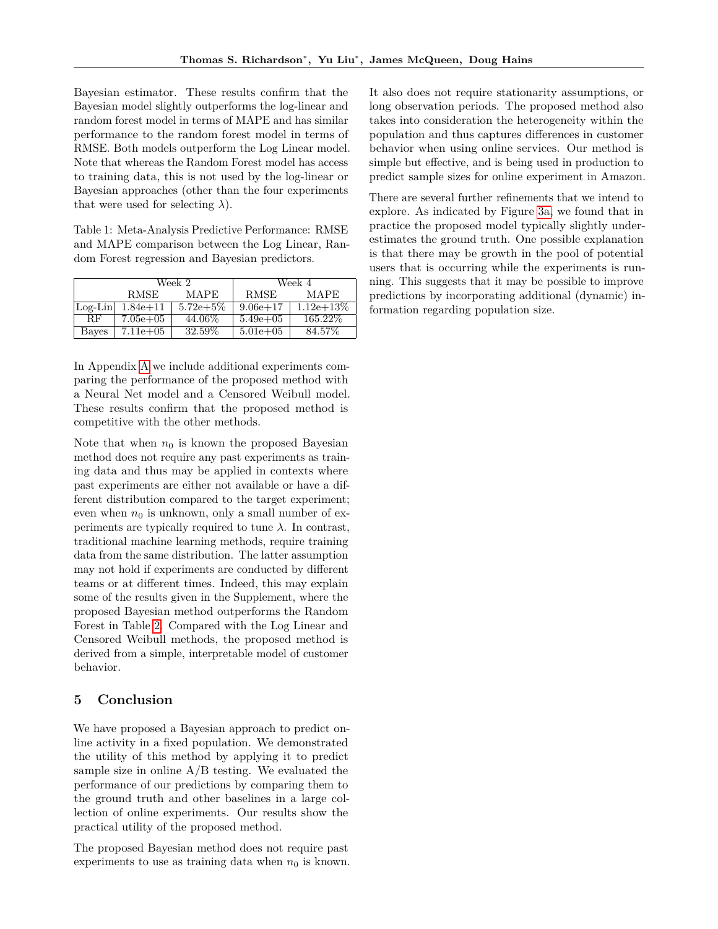Bayesian estimator. These results confirm that the Bayesian model slightly outperforms the log-linear and random forest model in terms of MAPE and has similar performance to the random forest model in terms of RMSE. Both models outperform the Log Linear model. Note that whereas the Random Forest model has access to training data, this is not used by the log-linear or Bayesian approaches (other than the four experiments that were used for selecting  $\lambda$ ).

Table 1: Meta-Analysis Predictive Performance: RMSE and MAPE comparison between the Log Linear, Random Forest regression and Bayesian predictors.

<span id="page-8-0"></span>

|             |              | Week 2      | Week 4        |              |  |
|-------------|--------------|-------------|---------------|--------------|--|
|             | <b>RMSE</b>  | MAPE        | <b>RMSE</b>   | <b>MAPE</b>  |  |
| $ Log-Lin $ | $1.84e + 11$ | $5.72e+5\%$ | $9.06e + 17$  | $1.12e+13\%$ |  |
| <b>RF</b>   | $7.05e + 05$ | 44.06\%     | $5.49e + 0.5$ | 165.22\%     |  |
| Bayes       | $7.11e+05$   | 32.59%      | $5.01e + 0.5$ | 84.57\%      |  |

In Appendix [A](#page-10-0) we include additional experiments comparing the performance of the proposed method with a Neural Net model and a Censored Weibull model. These results confirm that the proposed method is competitive with the other methods.

Note that when  $n_0$  is known the proposed Bayesian method does not require any past experiments as training data and thus may be applied in contexts where past experiments are either not available or have a different distribution compared to the target experiment; even when  $n_0$  is unknown, only a small number of experiments are typically required to tune  $\lambda$ . In contrast, traditional machine learning methods, require training data from the same distribution. The latter assumption may not hold if experiments are conducted by different teams or at different times. Indeed, this may explain some of the results given in the Supplement, where the proposed Bayesian method outperforms the Random Forest in Table [2.](#page-10-1) Compared with the Log Linear and Censored Weibull methods, the proposed method is derived from a simple, interpretable model of customer behavior.

#### **5 Conclusion**

We have proposed a Bayesian approach to predict online activity in a fixed population. We demonstrated the utility of this method by applying it to predict sample size in online A/B testing. We evaluated the performance of our predictions by comparing them to the ground truth and other baselines in a large collection of online experiments. Our results show the practical utility of the proposed method.

The proposed Bayesian method does not require past experiments to use as training data when  $n_0$  is known. It also does not require stationarity assumptions, or long observation periods. The proposed method also takes into consideration the heterogeneity within the population and thus captures differences in customer behavior when using online services. Our method is simple but effective, and is being used in production to predict sample sizes for online experiment in Amazon.

There are several further refinements that we intend to explore. As indicated by Figure [3a,](#page-6-1) we found that in practice the proposed model typically slightly underestimates the ground truth. One possible explanation is that there may be growth in the pool of potential users that is occurring while the experiments is running. This suggests that it may be possible to improve predictions by incorporating additional (dynamic) information regarding population size.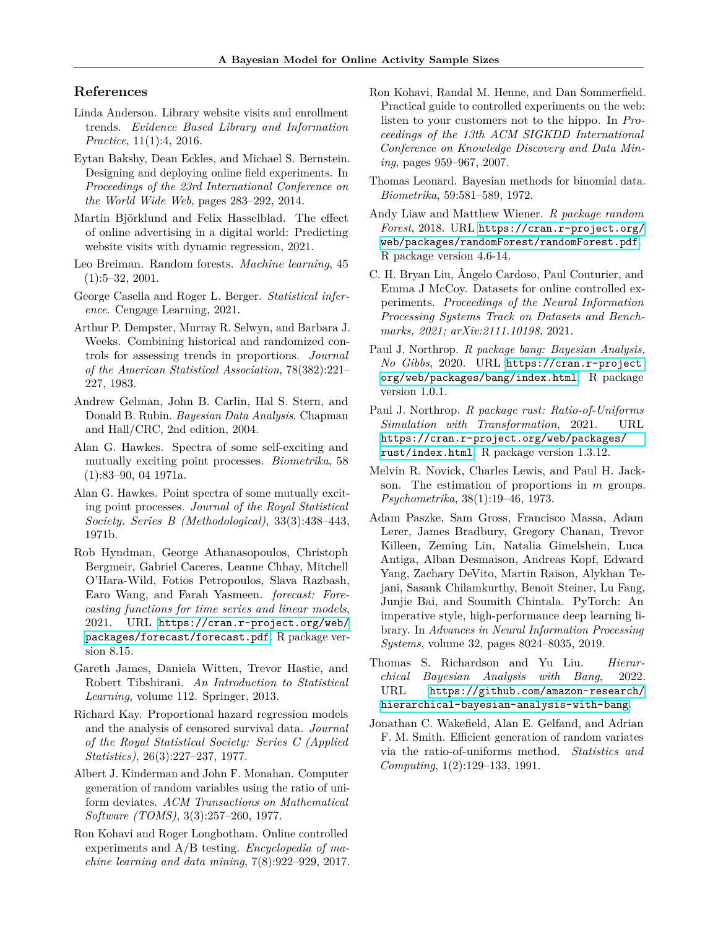#### **References**

- <span id="page-9-1"></span>Linda Anderson. Library website visits and enrollment trends. *Evidence Based Library and Information Practice*, 11(1):4, 2016.
- <span id="page-9-8"></span>Eytan Bakshy, Dean Eckles, and Michael S. Bernstein. Designing and deploying online field experiments. In *Proceedings of the 23rd International Conference on the World Wide Web*, pages 283–292, 2014.
- <span id="page-9-2"></span>Martin Björklund and Felix Hasselblad. The effect of online advertising in a digital world: Predicting website visits with dynamic regression, 2021.
- <span id="page-9-19"></span>Leo Breiman. Random forests. *Machine learning*, 45 (1):5–32, 2001.
- <span id="page-9-10"></span>George Casella and Roger L. Berger. *Statistical inference*. Cengage Learning, 2021.
- <span id="page-9-7"></span>Arthur P. Dempster, Murray R. Selwyn, and Barbara J. Weeks. Combining historical and randomized controls for assessing trends in proportions. *Journal of the American Statistical Association*, 78(382):221– 227, 1983.
- <span id="page-9-11"></span>Andrew Gelman, John B. Carlin, Hal S. Stern, and Donald B. Rubin. *Bayesian Data Analysis*. Chapman and Hall/CRC, 2nd edition, 2004.
- <span id="page-9-3"></span>Alan G. Hawkes. Spectra of some self-exciting and mutually exciting point processes. *Biometrika*, 58 (1):83–90, 04 1971a.
- <span id="page-9-4"></span>Alan G. Hawkes. Point spectra of some mutually exciting point processes. *Journal of the Royal Statistical Society. Series B (Methodological)*, 33(3):438–443, 1971b.
- <span id="page-9-18"></span>Rob Hyndman, George Athanasopoulos, Christoph Bergmeir, Gabriel Caceres, Leanne Chhay, Mitchell O'Hara-Wild, Fotios Petropoulos, Slava Razbash, Earo Wang, and Farah Yasmeen. *forecast: Forecasting functions for time series and linear models*, 2021. URL [https://cran.r-project.org/web/](https://cran.r-project.org/web/packages/forecast/forecast.pdf) [packages/forecast/forecast.pdf](https://cran.r-project.org/web/packages/forecast/forecast.pdf). R package version 8.15.
- <span id="page-9-14"></span>Gareth James, Daniela Witten, Trevor Hastie, and Robert Tibshirani. *An Introduction to Statistical Learning*, volume 112. Springer, 2013.
- <span id="page-9-22"></span>Richard Kay. Proportional hazard regression models and the analysis of censored survival data. *Journal of the Royal Statistical Society: Series C (Applied Statistics)*, 26(3):227–237, 1977.
- <span id="page-9-13"></span>Albert J. Kinderman and John F. Monahan. Computer generation of random variables using the ratio of uniform deviates. *ACM Transactions on Mathematical Software (TOMS)*, 3(3):257–260, 1977.
- <span id="page-9-9"></span>Ron Kohavi and Roger Longbotham. Online controlled experiments and A/B testing. *Encyclopedia of machine learning and data mining*, 7(8):922–929, 2017.
- <span id="page-9-0"></span>Ron Kohavi, Randal M. Henne, and Dan Sommerfield. Practical guide to controlled experiments on the web: listen to your customers not to the hippo. In *Proceedings of the 13th ACM SIGKDD International Conference on Knowledge Discovery and Data Mining*, pages 959–967, 2007.
- <span id="page-9-5"></span>Thomas Leonard. Bayesian methods for binomial data. *Biometrika*, 59:581–589, 1972.
- <span id="page-9-20"></span>Andy Liaw and Matthew Wiener. *R package random Forest*, 2018. URL [https://cran.r-project.org/](https://cran.r-project.org/web/packages/randomForest/randomForest.pdf) [web/packages/randomForest/randomForest.pdf](https://cran.r-project.org/web/packages/randomForest/randomForest.pdf). R package version 4.6-14.
- <span id="page-9-21"></span>C. H. Bryan Liu, Ângelo Cardoso, Paul Couturier, and Emma J McCoy. Datasets for online controlled experiments. *Proceedings of the Neural Information Processing Systems Track on Datasets and Benchmarks, 2021; arXiv:2111.10198*, 2021.
- <span id="page-9-16"></span>Paul J. Northrop. *R package bang: Bayesian Analysis, No Gibbs*, 2020. URL [https://cran.r-project.](https://cran.r-project.org/web/packages/bang/index.html) [org/web/packages/bang/index.html](https://cran.r-project.org/web/packages/bang/index.html). R package version 1.0.1.
- <span id="page-9-15"></span>Paul J. Northrop. *R package rust: Ratio-of-Uniforms Simulation with Transformation*, 2021. URL [https://cran.r-project.org/web/packages/](https://cran.r-project.org/web/packages/rust/index.html) [rust/index.html](https://cran.r-project.org/web/packages/rust/index.html). R package version 1.3.12.
- <span id="page-9-6"></span>Melvin R. Novick, Charles Lewis, and Paul H. Jackson. The estimation of proportions in *m* groups. *Psychometrika*, 38(1):19–46, 1973.
- <span id="page-9-23"></span>Adam Paszke, Sam Gross, Francisco Massa, Adam Lerer, James Bradbury, Gregory Chanan, Trevor Killeen, Zeming Lin, Natalia Gimelshein, Luca Antiga, Alban Desmaison, Andreas Kopf, Edward Yang, Zachary DeVito, Martin Raison, Alykhan Tejani, Sasank Chilamkurthy, Benoit Steiner, Lu Fang, Junjie Bai, and Soumith Chintala. PyTorch: An imperative style, high-performance deep learning library. In *Advances in Neural Information Processing Systems*, volume 32, pages 8024–8035, 2019.
- <span id="page-9-17"></span>Thomas S. Richardson and Yu Liu. *Hierarchical Bayesian Analysis with Bang*, 2022. URL [https://github.com/amazon-research/](https://github.com/amazon-research/hierarchical-bayesian-analysis-with-bang) [hierarchical-bayesian-analysis-with-bang](https://github.com/amazon-research/hierarchical-bayesian-analysis-with-bang).
- <span id="page-9-12"></span>Jonathan C. Wakefield, Alan E. Gelfand, and Adrian F. M. Smith. Efficient generation of random variates via the ratio-of-uniforms method. *Statistics and Computing*, 1(2):129–133, 1991.